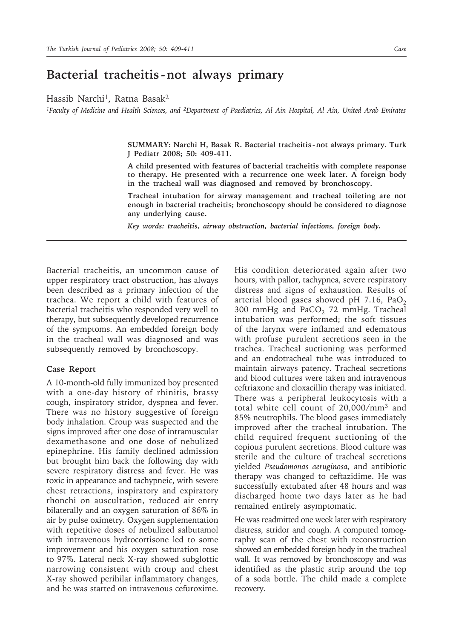## **Bacterial tracheitis -not always primary**

Hassib Narchi<sup>1</sup>, Ratna Basak<sup>2</sup>

*1Faculty of Medicine and Health Sciences, and 2Department of Paediatrics, Al Ain Hospital, Al Ain, United Arab Emirates*

**SUMMARY: Narchi H, Basak R. Bacterial tracheitis - not always primary. Turk J Pediatr 2008; 50: 409-411.**

**A child presented with features of bacterial tracheitis with complete response to therapy. He presented with a recurrence one week later. A foreign body in the tracheal wall was diagnosed and removed by bronchoscopy.**

**Tracheal intubation for airway management and tracheal toileting are not enough in bacterial tracheitis; bronchoscopy should be considered to diagnose any underlying cause.**

*Key words: tracheitis, airway obstruction, bacterial infections, foreign body.*

Bacterial tracheitis, an uncommon cause of upper respiratory tract obstruction, has always been described as a primary infection of the trachea. We report a child with features of bacterial tracheitis who responded very well to therapy, but subsequently developed recurrence of the symptoms. An embedded foreign body in the tracheal wall was diagnosed and was subsequently removed by bronchoscopy.

## **Case Report**

A 10-month-old fully immunized boy presented with a one-day history of rhinitis, brassy cough, inspiratory stridor, dyspnea and fever. There was no history suggestive of foreign body inhalation. Croup was suspected and the signs improved after one dose of intramuscular dexamethasone and one dose of nebulized epinephrine. His family declined admission but brought him back the following day with severe respiratory distress and fever. He was toxic in appearance and tachypneic, with severe chest retractions, inspiratory and expiratory rhonchi on auscultation, reduced air entry bilaterally and an oxygen saturation of 86% in air by pulse oximetry. Oxygen supplementation with repetitive doses of nebulized salbutamol with intravenous hydrocortisone led to some improvement and his oxygen saturation rose to 97%. Lateral neck X-ray showed subglottic narrowing consistent with croup and chest X-ray showed perihilar inflammatory changes, and he was started on intravenous cefuroxime. His condition deteriorated again after two hours, with pallor, tachypnea, severe respiratory distress and signs of exhaustion. Results of arterial blood gases showed pH 7.16, PaO<sub>2</sub> 300 mmHg and  $PaCO<sub>2</sub>$  72 mmHg. Tracheal intubation was performed; the soft tissues of the larynx were inflamed and edematous with profuse purulent secretions seen in the trachea. Tracheal suctioning was performed and an endotracheal tube was introduced to maintain airways patency. Tracheal secretions and blood cultures were taken and intravenous ceftriaxone and cloxacillin therapy was initiated. There was a peripheral leukocytosis with a total white cell count of 20,000/mm3 and 85% neutrophils. The blood gases immediately improved after the tracheal intubation. The child required frequent suctioning of the copious purulent secretions. Blood culture was sterile and the culture of tracheal secretions yielded *Pseudomonas aeruginosa*, and antibiotic therapy was changed to ceftazidime. He was successfully extubated after 48 hours and was discharged home two days later as he had remained entirely asymptomatic.

He was readmitted one week later with respiratory distress, stridor and cough. A computed tomography scan of the chest with reconstruction showed an embedded foreign body in the tracheal wall. It was removed by bronchoscopy and was identified as the plastic strip around the top of a soda bottle. The child made a complete recovery.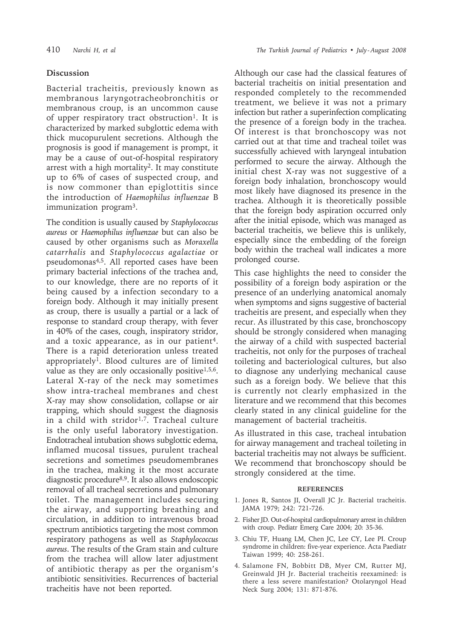## **Discussion**

Bacterial tracheitis, previously known as membranous laryngotracheobronchitis or membranous croup, is an uncommon cause of upper respiratory tract obstruction<sup>1</sup>. It is characterized by marked subglottic edema with thick mucopurulent secretions. Although the prognosis is good if management is prompt, it may be a cause of out-of-hospital respiratory arrest with a high mortality<sup>2</sup>. It may constitute up to 6% of cases of suspected croup, and is now commoner than epiglottitis since the introduction of *Haemophilus influenzae* B immunization program3.

The condition is usually caused by *Staphylococcus aureus* or *Haemophilus influenzae* but can also be caused by other organisms such as *Moraxella catarrhalis* and *Staphylococcus agalactiae* or pseudomonas<sup>4,5</sup>. All reported cases have been primary bacterial infections of the trachea and, to our knowledge, there are no reports of it being caused by a infection secondary to a foreign body. Although it may initially present as croup, there is usually a partial or a lack of response to standard croup therapy, with fever in 40% of the cases, cough, inspiratory stridor, and a toxic appearance, as in our patient<sup>4</sup>. There is a rapid deterioration unless treated appropriately1. Blood cultures are of limited value as they are only occasionally positive $1,5,6$ . Lateral X-ray of the neck may sometimes show intra-tracheal membranes and chest X-ray may show consolidation, collapse or air trapping, which should suggest the diagnosis in a child with stridor<sup>1,7</sup>. Tracheal culture is the only useful laboratory investigation. Endotracheal intubation shows subglottic edema, inflamed mucosal tissues, purulent tracheal secretions and sometimes pseudomembranes in the trachea, making it the most accurate diagnostic procedure8,9. It also allows endoscopic removal of all tracheal secretions and pulmonary toilet. The management includes securing the airway, and supporting breathing and circulation, in addition to intravenous broad spectrum antibiotics targeting the most common respiratory pathogens as well as *Staphylococcus aureus*. The results of the Gram stain and culture from the trachea will allow later adjustment of antibiotic therapy as per the organism's antibiotic sensitivities. Recurrences of bacterial tracheitis have not been reported.

Although our case had the classical features of bacterial tracheitis on initial presentation and responded completely to the recommended treatment, we believe it was not a primary infection but rather a superinfection complicating the presence of a foreign body in the trachea. Of interest is that bronchoscopy was not carried out at that time and tracheal toilet was successfully achieved with laryngeal intubation performed to secure the airway. Although the initial chest X-ray was not suggestive of a foreign body inhalation, bronchoscopy would most likely have diagnosed its presence in the trachea. Although it is theoretically possible that the foreign body aspiration occurred only after the initial episode, which was managed as bacterial tracheitis, we believe this is unlikely, especially since the embedding of the foreign body within the tracheal wall indicates a more prolonged course.

This case highlights the need to consider the possibility of a foreign body aspiration or the presence of an underlying anatomical anomaly when symptoms and signs suggestive of bacterial tracheitis are present, and especially when they recur. As illustrated by this case, bronchoscopy should be strongly considered when managing the airway of a child with suspected bacterial tracheitis, not only for the purposes of tracheal toileting and bacteriological cultures, but also to diagnose any underlying mechanical cause such as a foreign body. We believe that this is currently not clearly emphasized in the literature and we recommend that this becomes clearly stated in any clinical guideline for the management of bacterial tracheitis.

As illustrated in this case, tracheal intubation for airway management and tracheal toileting in bacterial tracheitis may not always be sufficient. We recommend that bronchoscopy should be strongly considered at the time.

## **REFERENCES**

- 1. Jones R, Santos JI, Overall JC Jr. Bacterial tracheitis. JAMA 1979; 242: 721-726.
- 2. Fisher JD. Out-of-hospital cardiopulmonary arrest in children with croup. Pediatr Emerg Care 2004; 20: 35-36.
- 3. Chiu TF, Huang LM, Chen JC, Lee CY, Lee PI. Croup syndrome in children: five-year experience. Acta Paediatr Taiwan 1999; 40: 258-261.
- 4. Salamone FN, Bobbitt DB, Myer CM, Rutter MJ, Greinwald JH Jr. Bacterial tracheitis reexamined: is there a less severe manifestation? Otolaryngol Head Neck Surg 2004; 131: 871-876.